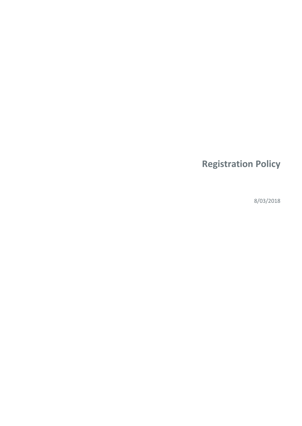# **Registration Policy**

8/03/2018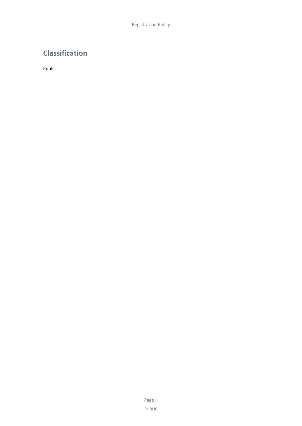# **Classification**

Public

Page II PUBLIC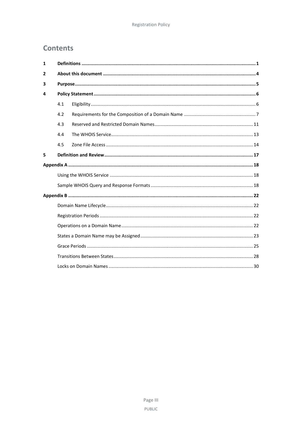# **Contents**

| $\mathbf{1}$ |     |  |  |
|--------------|-----|--|--|
| 2            |     |  |  |
| 3            |     |  |  |
| 4            |     |  |  |
|              | 4.1 |  |  |
|              | 4.2 |  |  |
|              | 4.3 |  |  |
|              | 4.4 |  |  |
|              | 4.5 |  |  |
| 5            |     |  |  |
|              |     |  |  |
|              |     |  |  |
|              |     |  |  |
|              |     |  |  |
|              |     |  |  |
|              |     |  |  |
|              |     |  |  |
|              |     |  |  |
|              |     |  |  |
|              |     |  |  |
|              |     |  |  |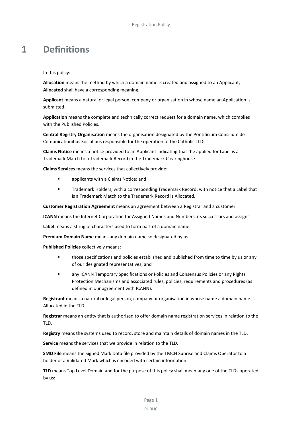# <span id="page-4-0"></span>**1 Definitions**

In this policy:

**Allocation** means the method by which a domain name is created and assigned to an Applicant; **Allocated** shall have a corresponding meaning.

**Applicant** means a natural or legal person, company or organisation in whose name an Application is submitted.

**Application** means the complete and technically correct request for a domain name, which complies with the Published Policies.

**Central Registry Organisation** means the organisation designated by the Pontificium Consilium de Comunicationibus Socialibus responsible for the operation of the Catholic TLDs.

**Claims Notice** means a notice provided to an Applicant indicating that the applied for Label is a Trademark Match to a Trademark Record in the Trademark Clearinghouse.

**Claims Services** means the services that collectively provide:

- **applicants with a Claims Notice; and**
- Trademark Holders, with a corresponding Trademark Record, with notice that a Label that is a Trademark Match to the Trademark Record is Allocated.

**Customer Registration Agreement** means an agreement between a Registrar and a customer.

**ICANN** means the Internet Corporation for Assigned Names and Numbers, its successors and assigns.

**Label** means a string of characters used to form part of a domain name.

**Premium Domain Name** means any domain name so designated by us.

**Published Policies** collectively means:

- **those specifications and policies established and published from time to time by us or any** of our designated representatives; and
- any ICANN Temporary Specifications or Policies and Consensus Policies or any Rights Protection Mechanisms and associated rules, policies, requirements and procedures (as defined in our agreement with ICANN).

**Registrant** means a natural or legal person, company or organisation in whose name a domain name is Allocated in the TLD.

**Registrar** means an entity that is authorised to offer domain name registration services in relation to the TLD.

**Registry** means the systems used to record, store and maintain details of domain names in the TLD.

**Service** means the services that we provide in relation to the TLD.

**SMD File** means the Signed Mark Data file provided by the TMCH Sunrise and Claims Operator to a holder of a Validated Mark which is encoded with certain information.

**TLD** means Top Level Domain and for the purpose of this policy shall mean any one of the TLDs operated by us:

PUBLIC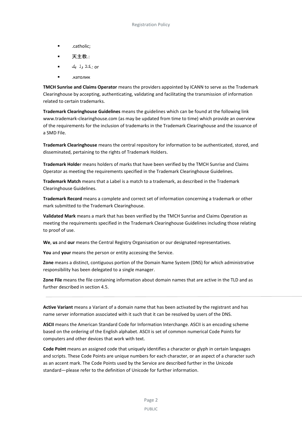- .catholic;
- 天主教.:
- or .:كاث ول يك
- .католик

**TMCH Sunrise and Claims Operator** means the providers appointed by ICANN to serve as the Trademark Clearinghouse by accepting, authenticating, validating and facilitating the transmission of information related to certain trademarks.

**Trademark Clearinghouse Guidelines** means the guidelines which can be found at the following link www.trademark-clearinghouse.com (as may be updated from time to time) which provide an overview of the requirements for the inclusion of trademarks in the Trademark Clearinghouse and the issuance of a SMD File.

**Trademark Clearinghouse** means the central repository for information to be authenticated, stored, and disseminated, pertaining to the rights of Trademark Holders.

**Trademark Holde**r means holders of marks that have been verified by the TMCH Sunrise and Claims Operator as meeting the requirements specified in the Trademark Clearinghouse Guidelines.

**Trademark Match** means that a Label is a match to a trademark, as described in the Trademark Clearinghouse Guidelines.

**Trademark Record** means a complete and correct set of information concerning a trademark or other mark submitted to the Trademark Clearinghouse.

**Validated Mark** means a mark that has been verified by the TMCH Sunrise and Claims Operation as meeting the requirements specified in the Trademark Clearinghouse Guidelines including those relating to proof of use.

**We**, **us** and **our** means the Central Registry Organisation or our designated representatives.

**You** and **your** means the person or entity accessing the Service.

**Zone** means a distinct, contiguous portion of the Domain Name System (DNS) for which administrative responsibility has been delegated to a single manager.

**Zone File** means the file containing information about domain names that are active in the TLD and as further described in sectio[n 4.5.](#page-17-0)

**Active Variant** means a Variant of a domain name that has been activated by the registrant and has name server information associated with it such that it can be resolved by users of the DNS.

**ASCII** means the American Standard Code for Information Interchange. ASCII is an encoding scheme based on the ordering of the English alphabet. ASCII is set of common numerical Code Points for computers and other devices that work with text.

**Code Point** means an assigned code that uniquely identifies a character or glyph in certain languages and scripts. These Code Points are unique numbers for each character, or an aspect of a character such as an accent mark. The Code Points used by the Service are described further in the Unicode standard―please refer to the definition of Unicode for further information.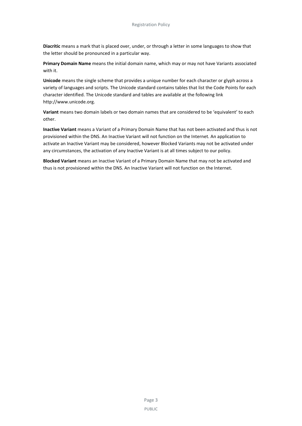**Diacritic** means a mark that is placed over, under, or through a letter in some languages to show that the letter should be pronounced in a particular way.

**Primary Domain Name** means the initial domain name, which may or may not have Variants associated with it.

**Unicode** means the single scheme that provides a unique number for each character or glyph across a variety of languages and scripts. The Unicode standard contains tables that list the Code Points for each character identified. The Unicode standard and tables are available at the following link http://www.unicode.org.

**Variant** means two domain labels or two domain names that are considered to be 'equivalent' to each other.

**Inactive Variant** means a Variant of a Primary Domain Name that has not been activated and thus is not provisioned within the DNS. An Inactive Variant will not function on the Internet. An application to activate an Inactive Variant may be considered, however Blocked Variants may not be activated under any circumstances, the activation of any Inactive Variant is at all times subject to our policy.

**Blocked Variant** means an Inactive Variant of a Primary Domain Name that may not be activated and thus is not provisioned within the DNS. An Inactive Variant will not function on the Internet.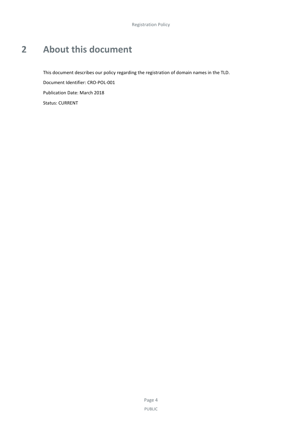# <span id="page-7-0"></span>**2 About this document**

This document describes our policy regarding the registration of domain names in the TLD. Document Identifier: CRO-POL-001 Publication Date: March 2018 Status: CURRENT

> Page 4 PUBLIC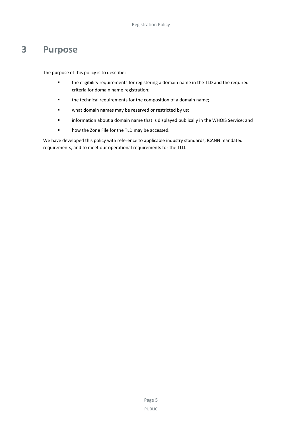# <span id="page-8-0"></span>**3 Purpose**

The purpose of this policy is to describe:

- the eligibility requirements for registering a domain name in the TLD and the required criteria for domain name registration;
- the technical requirements for the composition of a domain name;
- **u** what domain names may be reserved or restricted by us;
- information about a domain name that is displayed publically in the WHOIS Service; and
- **•** how the Zone File for the TLD may be accessed.

We have developed this policy with reference to applicable industry standards, ICANN mandated requirements, and to meet our operational requirements for the TLD.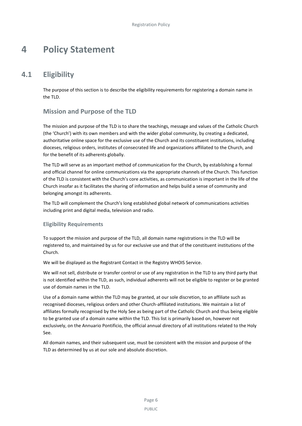# <span id="page-9-0"></span>**4 Policy Statement**

# **4.1 Eligibility**

<span id="page-9-1"></span>The purpose of this section is to describe the eligibility requirements for registering a domain name in the TLD.

# **Mission and Purpose of the TLD**

The mission and purpose of the TLD is to share the teachings, message and values of the Catholic Church (the 'Church') with its own members and with the wider global community, by creating a dedicated, authoritative online space for the exclusive use of the Church and its constituent institutions, including dioceses, religious orders, institutes of consecrated life and organizations affiliated to the Church, and for the benefit of its adherents globally.

The TLD will serve as an important method of communication for the Church, by establishing a formal and official channel for online communications via the appropriate channels of the Church. This function of the TLD is consistent with the Church's core activities, as communication is important in the life of the Church insofar as it facilitates the sharing of information and helps build a sense of community and belonging amongst its adherents.

The TLD will complement the Church's long established global network of communications activities including print and digital media, television and radio.

# **Eligibility Requirements**

To support the mission and purpose of the TLD, all domain name registrations in the TLD will be registered to, and maintained by us for our exclusive use and that of the constituent institutions of the Church.

We will be displayed as the Registrant Contact in the Registry WHOIS Service.

We will not sell, distribute or transfer control or use of any registration in the TLD to any third party that is not identified within the TLD, as such, individual adherents will not be eligible to register or be granted use of domain names in the TLD.

Use of a domain name within the TLD may be granted, at our sole discretion, to an affiliate such as recognised dioceses, religious orders and other Church-affiliated institutions. We maintain a list of affiliates formally recognised by the Holy See as being part of the Catholic Church and thus being eligible to be granted use of a domain name within the TLD. This list is primarily based on, however not exclusively, on the Annuario Pontificio, the official annual directory of all institutions related to the Holy See.

All domain names, and their subsequent use, must be consistent with the mission and purpose of the TLD as determined by us at our sole and absolute discretion.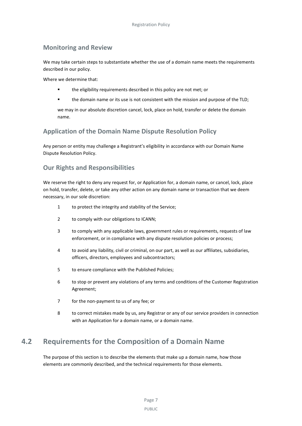# **Monitoring and Review**

We may take certain steps to substantiate whether the use of a domain name meets the requirements described in our policy.

Where we determine that:

- the eligibility requirements described in this policy are not met; or
- the domain name or its use is not consistent with the mission and purpose of the TLD;

we may in our absolute discretion cancel, lock, place on hold, transfer or delete the domain name.

# **Application of the Domain Name Dispute Resolution Policy**

Any person or entity may challenge a Registrant's eligibility in accordance with our Domain Name Dispute Resolution Policy.

# **Our Rights and Responsibilities**

We reserve the right to deny any request for, or Application for, a domain name, or cancel, lock, place on hold, transfer, delete, or take any other action on any domain name or transaction that we deem necessary, in our sole discretion:

- 1 to protect the integrity and stability of the Service;
- 2 to comply with our obligations to ICANN;
- 3 to comply with any applicable laws, government rules or requirements, requests of law enforcement, or in compliance with any dispute resolution policies or process;
- 4 to avoid any liability, civil or criminal, on our part, as well as our affiliates, subsidiaries, officers, directors, employees and subcontractors;
- 5 to ensure compliance with the Published Policies;
- 6 to stop or prevent any violations of any terms and conditions of the Customer Registration Agreement;
- 7 for the non-payment to us of any fee; or
- 8 to correct mistakes made by us, any Registrar or any of our service providers in connection with an Application for a domain name, or a domain name.

# <span id="page-10-0"></span>**4.2 Requirements for the Composition of a Domain Name**

The purpose of this section is to describe the elements that make up a domain name, how those elements are commonly described, and the technical requirements for those elements.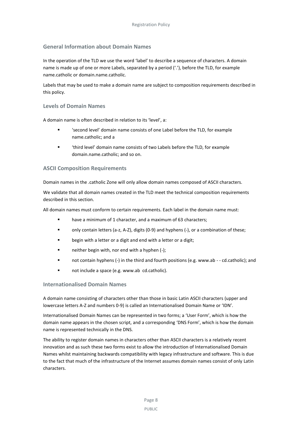## **General Information about Domain Names**

In the operation of the TLD we use the word 'label' to describe a sequence of characters. A domain name is made up of one or more Labels, separated by a period ('.'), before the TLD, for example name.catholic or domain.name.catholic.

Labels that may be used to make a domain name are subject to composition requirements described in this policy.

### **Levels of Domain Names**

A domain name is often described in relation to its 'level', a:

- 'second level' domain name consists of one Label before the TLD, for example name.catholic; and a
- 'third level' domain name consists of two Labels before the TLD, for example domain.name.catholic; and so on.

### **ASCII Composition Requirements**

Domain names in the .catholic Zone will only allow domain names composed of ASCII characters.

We validate that all domain names created in the TLD meet the technical composition requirements described in this section.

All domain names must conform to certain requirements. Each label in the domain name must:

- have a minimum of 1 character, and a maximum of 63 characters;
- only contain letters (a-z, A-Z), digits (0-9) and hyphens (-), or a combination of these;
- **EXECT** begin with a letter or a digit and end with a letter or a digit;
- neither begin with, nor end with a hyphen (-);
- not contain hyphens (-) in the third and fourth positions (e.g. www.ab - cd.catholic); and
- not include a space (e.g. www.ab cd.catholic).

### **Internationalised Domain Names**

A domain name consisting of characters other than those in basic Latin ASCII characters (upper and lowercase letters A-Z and numbers 0-9) is called an Internationalised Domain Name or 'IDN'.

Internationalised Domain Names can be represented in two forms; a 'User Form', which is how the domain name appears in the chosen script, and a corresponding 'DNS Form', which is how the domain name is represented technically in the DNS.

The ability to register domain names in characters other than ASCII characters is a relatively recent innovation and as such these two forms exist to allow the introduction of Internationalised Domain Names whilst maintaining backwards compatibility with legacy infrastructure and software. This is due to the fact that much of the infrastructure of the Internet assumes domain names consist of only Latin characters.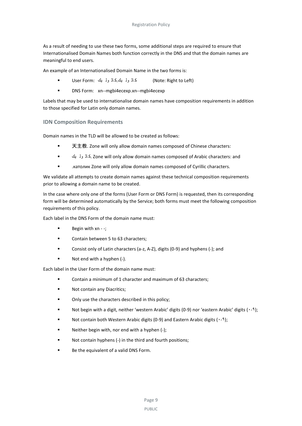As a result of needing to use these two forms, some additional steps are required to ensure that Internationalised Domain Names both function correctly in the DNS and that the domain names are meaningful to end users.

An example of an Internationalised Domain Name in the two forms is:

- User Form: يك ول كاث.يك ول كاث) Note: Right to Left)
- **DNS** Form: xn--mgbi4ecexp.xn--mgbi4ecexp

Labels that may be used to internationalise domain names have composition requirements in addition to those specified for Latin only domain names.

## **IDN Composition Requirements**

Domain names in the TLD will be allowed to be created as follows:

- 天主教. Zone will only allow domain names composed of Chinese characters:
- يك ول كاث. Zone will only allow domain names composed of Arabic characters: and
- .католик Zone will only allow domain names composed of Cyrillic characters.

We validate all attempts to create domain names against these technical composition requirements prior to allowing a domain name to be created.

In the case where only one of the forms (User Form or DNS Form) is requested, then its corresponding form will be determined automatically by the Service; both forms must meet the following composition requirements of this policy.

Each label in the DNS Form of the domain name must:

- $\blacksquare$  Begin with xn -;
- Contain between 5 to 63 characters;
- Consist only of Latin characters (a-z, A-Z), digits (0-9) and hyphens (-); and
- Not end with a hyphen (-).

Each label in the User Form of the domain name must:

- Contain a minimum of 1 character and maximum of 63 characters;
- **Not contain any Diacritics;**
- **•** Only use the characters described in this policy;
- Not begin with a digit, neither 'western Arabic' digits (0-9) nor 'eastern Arabic' digits (۰-۹);
- Not contain both Western Arabic digits (0-9) and Eastern Arabic digits (۰-۹);
- Neither begin with, nor end with a hyphen (-);
- Not contain hyphens (-) in the third and fourth positions;
- **Be the equivalent of a valid DNS Form.**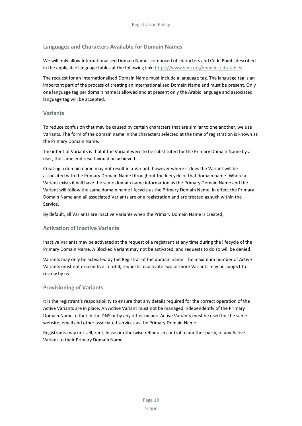### **Languages and Characters Available for Domain Names**

We will only allow Internationalised Domain Names composed of characters and Code Points described in the applicable language tables at the following link[: https://www.iana.org/domains/idn-tables](https://www.iana.org/domains/idn-tables)

The request for an Internationalised Domain Name must include a language tag. The language tag is an important part of the process of creating an Internationalised Domain Name and must be present. Only one language tag per domain name is allowed and at present only the Arabic language and associated language tag will be accepted.

### **Variants**

To reduce confusion that may be caused by certain characters that are similar to one another, we use Variants. The form of the domain name in the characters selected at the time of registration is known as the Primary Domain Name.

The intent of Variants is that if the Variant were to be substituted for the Primary Domain Name by a user, the same end result would be achieved.

Creating a domain name may not result in a Variant, however where it does the Variant will be associated with the Primary Domain Name throughout the lifecycle of that domain name. Where a Variant exists it will have the same domain name information as the Primary Domain Name and the Variant will follow the same domain name lifecycle as the Primary Domain Name. In effect the Primary Domain Name and all associated Variants are one registration and are treated as such within the Service.

By default, all Variants are Inactive Variants when the Primary Domain Name is created,

### **Activation of Inactive Variants**

Inactive Variants may be activated at the request of a registrant at any time during the lifecycle of the Primary Domain Name. A Blocked Variant may not be activated, and requests to do so will be denied.

Variants may only be activated by the Registrar of the domain name. The maximum number of Active Variants must not exceed five in total; requests to activate two or more Variants may be subject to review by us.

### **Provisioning of Variants**

It is the registrant's responsibility to ensure that any details required for the correct operation of the Active Variants are in place. An Active Variant must not be managed independently of the Primary Domain Name, either in the DNS or by any other means. Active Variants must be used for the same website, email and other associated services as the Primary Domain Name

Registrants may not sell, rent, lease or otherwise relinquish control to another party, of any Active Variant to their Primary Domain Name.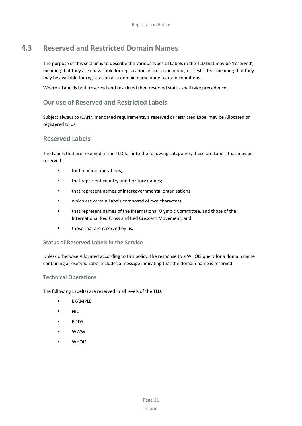# **4.3 Reserved and Restricted Domain Names**

<span id="page-14-0"></span>The purpose of this section is to describe the various types of Labels in the TLD that may be 'reserved', meaning that they are unavailable for registration as a domain name, or 'restricted' meaning that they may be available for registration as a domain name under certain conditions.

Where a Label is both reserved and restricted then reserved status shall take precedence.

# **Our use of Reserved and Restricted Labels**

Subject always to ICANN mandated requirements, a reserved or restricted Label may be Allocated or registered to us.

# **Reserved Labels**

The Labels that are reserved in the TLD fall into the following categories; these are Labels that may be reserved:

- **for technical operations:**
- **that represent country and territory names;**
- **that represent names of intergovernmental organisations;**
- **ullet unity which are certain Labels composed of two characters;**
- that represent names of the International Olympic Committee, and those of the International Red Cross and Red Crescent Movement; and
- **those that are reserved by us.**

### **Status of Reserved Labels in the Service**

Unless otherwise Allocated according to this policy, the response to a WHOIS query for a domain name containing a reserved Label includes a message indicating that the domain name is reserved.

### **Technical Operations**

The following Label(s) are reserved in all levels of the TLD:

- EXAMPLE
- NIC
- **RDDS**
- WWW
- **U** WHOIS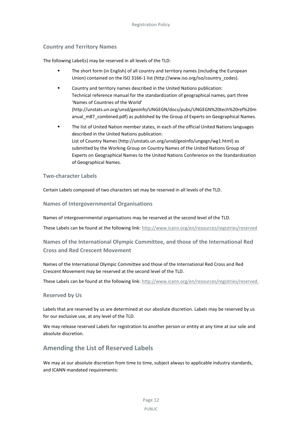## **Country and Territory Names**

The following Label(s) may be reserved in all levels of the TLD:

- The short form (in English) of all country and territory names (including the European Union) contained on the ISO 3166-1 list [\(http://www.iso.org/iso/country\\_codes\)](http://www.iso.org/iso/country_codes).
- Country and territory names described in the United Nations publication: Technical reference manual for the standardization of geographical names, part three 'Names of Countries of the World' [\(http://unstats.un.org/unsd/geoinfo/UNGEGN/docs/pubs/UNGEGN%20tech%20ref%20m](http://unstats.un.org/unsd/geoinfo/UNGEGN/docs/pubs/UNGEGN%20tech%20ref%20manual_m87_combined.pdf) [anual\\_m87\\_combined.pdf\)](http://unstats.un.org/unsd/geoinfo/UNGEGN/docs/pubs/UNGEGN%20tech%20ref%20manual_m87_combined.pdf) as published by the Group of Experts on Geographical Names.
- The list of United Nation member states, in each of the official United Nations languages described in the United Nations publication: List of Country Names [\(http://unstats.un.org/unsd/geoinfo/ungegn/wg1.html\)](http://unstats.un.org/unsd/geoinfo/ungegn/wg1.html) as submitted by the Working Group on Country Names of the United Nations Group of Experts on Geographical Names to the United Nations Conference on the Standardization of Geographical Names.

### **Two-character Labels**

Certain Labels composed of two characters set may be reserved in all levels of the TLD.

**Names of Intergovernmental Organisations**

Names of intergovernmental organisations may be reserved at the second level of the TLD.

These Labels can be found at the following link:<http://www.icann.org/en/resources/registries/reserved>

# **Names of the International Olympic Committee, and those of the International Red Cross and Red Crescent Movement**

Names of the International Olympic Committee and those of the International Red Cross and Red Crescent Movement may be reserved at the second level of the TLD.

These Labels can be found at the following link: [http://www.icann.org/en/resources/registries/reserved.](http://www.icann.org/en/resources/registries/reserved)

## **Reserved by Us**

Labels that are reserved by us are determined at our absolute discretion. Labels may be reserved by us for our exclusive use, at any level of the TLD.

We may release reserved Labels for registration to another person or entity at any time at our sole and absolute discretion.

# **Amending the List of Reserved Labels**

We may at our absolute discretion from time to time, subject always to applicable industry standards, and ICANN mandated requirements: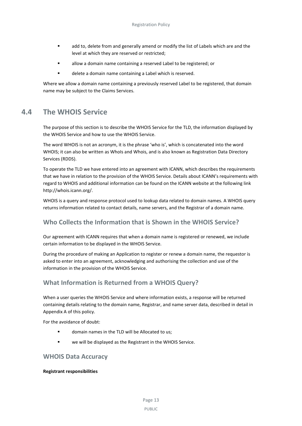- add to, delete from and generally amend or modify the list of Labels which are and the level at which they are reserved or restricted;
- allow a domain name containing a reserved Label to be registered; or
- delete a domain name containing a Label which is reserved.

<span id="page-16-0"></span>Where we allow a domain name containing a previously reserved Label to be registered, that domain name may be subject to the Claims Services.

# **4.4 The WHOIS Service**

The purpose of this section is to describe the WHOIS Service for the TLD, the information displayed by the WHOIS Service and how to use the WHOIS Service.

The word WHOIS is not an acronym, it is the phrase 'who is', which is concatenated into the word WHOIS; it can also be written as WhoIs and Whois, and is also known as Registration Data Directory Services (RDDS).

To operate the TLD we have entered into an agreement with ICANN, which describes the requirements that we have in relation to the provision of the WHOIS Service. Details about ICANN's requirements with regard to WHOIS and additional information can be found on the ICANN website at the following link http://whois.icann.org/.

WHOIS is a query and response protocol used to lookup data related to domain names. A WHOIS query returns information related to contact details, name servers, and the Registrar of a domain name.

# **Who Collects the Information that is Shown in the WHOIS Service?**

Our agreement with ICANN requires that when a domain name is registered or renewed, we include certain information to be displayed in the WHOIS Service.

During the procedure of making an Application to register or renew a domain name, the requestor is asked to enter into an agreement, acknowledging and authorising the collection and use of the information in the provision of the WHOIS Service.

# **What Information is Returned from a WHOIS Query?**

When a user queries the WHOIS Service and where information exists, a response will be returned containing details relating to the domain name, Registrar, and name server data, described in detail in Appendix A of this policy.

For the avoidance of doubt:

- domain names in the TLD will be Allocated to us;
- we will be displayed as the Registrant in the WHOIS Service.

# **WHOIS Data Accuracy**

### **Registrant responsibilities**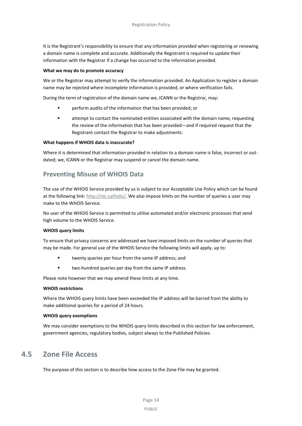It is the Registrant's responsibility to ensure that any information provided when registering or renewing a domain name is complete and accurate. Additionally the Registrant is required to update their information with the Registrar if a change has occurred to the information provided.

#### **What we may do to promote accuracy**

We or the Registrar may attempt to verify the information provided. An Application to register a domain name may be rejected where incomplete information is provided, or where verification fails.

During the term of registration of the domain name we, ICANN or the Registrar, may:

- perform audits of the information that has been provided; or
- attempt to contact the nominated entities associated with the domain name, requesting the review of the information that has been provided—and if required request that the Registrant contact the Registrar to make adjustments.

#### **What happens if WHOIS data is inaccurate?**

Where it is determined that information provided in relation to a domain name is false, incorrect or outdated; we, ICANN or the Registrar may suspend or cancel the domain name.

# **Preventing Misuse of WHOIS Data**

The use of the WHOIS Service provided by us is subject to our Acceptable Use Policy which can be found at the following link[: http://nic.catholic/.](http://nic.courses/) We also impose limits on the number of queries a user may make to the WHOIS Service.

No user of the WHOIS Service is permitted to utilise automated and/or electronic processes that send high volume to the WHOIS Service.

#### **WHOIS query limits**

To ensure that privacy concerns are addressed we have imposed limits on the number of queries that may be made. For general use of the WHOIS Service the following limits will apply, up to:

- twenty queries per hour from the same IP address; and
- **u** two-hundred queries per day from the same IP address.

Please note however that we may amend these limits at any time.

#### **WHOIS restrictions**

Where the WHOIS query limits have been exceeded the IP address will be barred from the ability to make additional queries for a period of 24 hours.

#### **WHOIS query exemptions**

<span id="page-17-0"></span>We may consider exemptions to the WHOIS query limits described in this section for law enforcement, government agencies, regulatory bodies, subject always to the Published Policies.

# **4.5 Zone File Access**

The purpose of this section is to describe how access to the Zone File may be granted.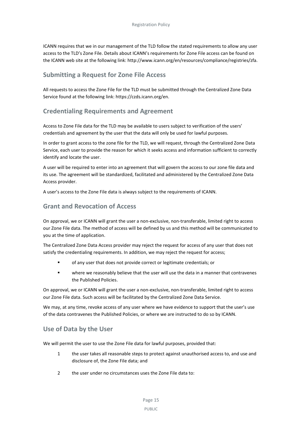ICANN requires that we in our management of the TLD follow the stated requirements to allow any user access to the TLD's Zone File. Details about ICANN's requirements for Zone File access can be found on the ICANN web site at the following link: http://www.icann.org/en/resources/compliance/registries/zfa.

# **Submitting a Request for Zone File Access**

All requests to access the Zone File for the TLD must be submitted through the Centralized Zone Data Service found at the following link: https://czds.icann.org/en.

# **Credentialing Requirements and Agreement**

Access to Zone File data for the TLD may be available to users subject to verification of the users' credentials and agreement by the user that the data will only be used for lawful purposes.

In order to grant access to the zone file for the TLD, we will request, through the Centralized Zone Data Service, each user to provide the reason for which it seeks access and information sufficient to correctly identify and locate the user.

A user will be required to enter into an agreement that will govern the access to our zone file data and its use. The agreement will be standardized, facilitated and administered by the Centralized Zone Data Access provider.

A user's access to the Zone File data is always subject to the requirements of ICANN.

# **Grant and Revocation of Access**

On approval, we or ICANN will grant the user a non-exclusive, non-transferable, limited right to access our Zone File data. The method of access will be defined by us and this method will be communicated to you at the time of application.

The Centralized Zone Data Access provider may reject the request for access of any user that does not satisfy the credentialing requirements. In addition, we may reject the request for access;

- of any user that does not provide correct or legitimate credentials; or
- where we reasonably believe that the user will use the data in a manner that contravenes the Published Policies.

On approval, we or ICANN will grant the user a non-exclusive, non-transferable, limited right to access our Zone File data. Such access will be facilitated by the Centralized Zone Data Service.

We may, at any time, revoke access of any user where we have evidence to support that the user's use of the data contravenes the Published Policies, or where we are instructed to do so by ICANN.

# **Use of Data by the User**

We will permit the user to use the Zone File data for lawful purposes, provided that:

- 1 the user takes all reasonable steps to protect against unauthorised access to, and use and disclosure of, the Zone File data; and
- 2 the user under no circumstances uses the Zone File data to: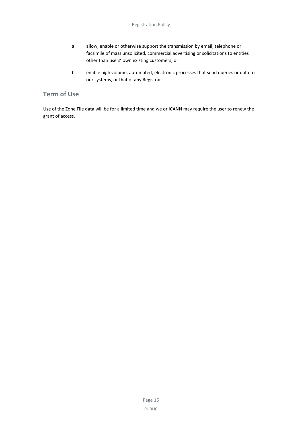- a allow, enable or otherwise support the transmission by email, telephone or facsimile of mass unsolicited, commercial advertising or solicitations to entities other than users' own existing customers; or
- b enable high volume, automated, electronic processes that send queries or data to our systems, or that of any Registrar.

# **Term of Use**

Use of the Zone File data will be for a limited time and we or ICANN may require the user to renew the grant of access.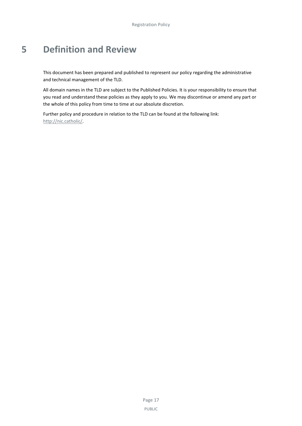# <span id="page-20-0"></span>**5 Definition and Review**

This document has been prepared and published to represent our policy regarding the administrative and technical management of the TLD.

All domain names in the TLD are subject to the Published Policies. It is your responsibility to ensure that you read and understand these policies as they apply to you. We may discontinue or amend any part or the whole of this policy from time to time at our absolute discretion.

Further policy and procedure in relation to the TLD can be found at the following link: [http://nic.catholic/.](http://nic.catholic/)

> Page 17 PUBLIC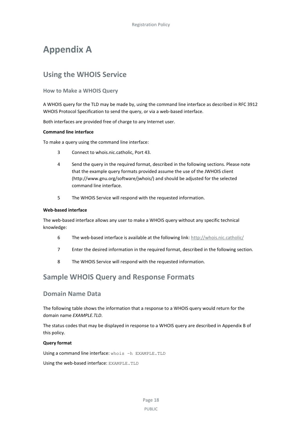# <span id="page-21-0"></span>**Appendix A**

# <span id="page-21-1"></span>**Using the WHOIS Service**

### **How to Make a WHOIS Query**

A WHOIS query for the TLD may be made by, using the command line interface as described in RFC 3912 WHOIS Protocol Specification to send the query, or via a web-based interface.

Both interfaces are provided free of charge to any Internet user.

#### **Command line interface**

To make a query using the command line interface:

- 3 Connect to whois.nic.catholic, Port 43.
- 4 Send the query in the required format, described in the following sections. Please note that the example query formats provided assume the use of the JWHOIS client (http://www.gnu.org/software/jwhois/) and should be adjusted for the selected command line interface.
- 5 The WHOIS Service will respond with the requested information.

#### **Web-based interface**

The web-based interface allows any user to make a WHOIS query without any specific technical knowledge:

- 6 The web-based interface is available at the following link: [http://whois.nic.catholic/](http://whois.nic.courses/)
- 7 Enter the desired information in the required format, described in the following section.
- 8 The WHOIS Service will respond with the requested information.

# <span id="page-21-2"></span>**Sample WHOIS Query and Response Formats**

## **Domain Name Data**

The following table shows the information that a response to a WHOIS query would return for the domain name *EXAMPLE.TLD*.

The status codes that may be displayed in response to a WHOIS query are described in Appendix B of this policy.

#### **Query format**

Using a command line interface: whois -h EXAMPLE. TLD

Using the web-based interface: EXAMPLE.TLD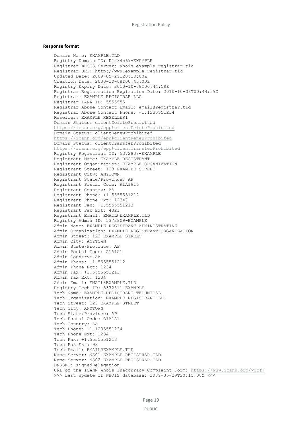#### **Response format**

Domain Name: EXAMPLE.TLD Registry Domain ID: D1234567-EXAMPLE Registrar WHOIS Server: whois.example-registrar.tld Registrar URL: http://www.example-registrar.tld Updated Date: 2009-05-29T20:13:00Z Creation Date: 2000-10-08T00:45:00Z Registry Expiry Date: 2010-10-08T00:44:59Z Registrar Registration Expiration Date: 2010-10-08T00:44:59Z Registrar: EXAMPLE REGISTRAR LLC Registrar IANA ID: 5555555 Registrar Abuse Contact Email: email@registrar.tld Registrar Abuse Contact Phone: +1.1235551234 Reseller: EXAMPLE RESELLER1 Domain Status: clientDeleteProhibited <https://icann.org/epp#clientDeleteProhibited> Domain Status: clientRenewProhibited <https://icann.org/epp#clientRenewProhibited> Domain Status: clientTransferProhibited <https://icann.org/epp#clientTransferProhibited> Registry Registrant ID: 5372808-EXAMPLE Registrant Name: EXAMPLE REGISTRANT Registrant Organization: EXAMPLE ORGANIZATION Registrant Street: 123 EXAMPLE STREET Registrant City: ANYTOWN Registrant State/Province: AP Registrant Postal Code: A1A1A16 Registrant Country: AA Registrant Phone: +1.5555551212 Registrant Phone Ext: 12347 Registrant Fax: +1.5555551213 Registrant Fax Ext: 4321 Registrant Email: EMAIL@EXAMPLE.TLD Registry Admin ID: 5372809-EXAMPLE Admin Name: EXAMPLE REGISTRANT ADMINISTRATIVE Admin Organization: EXAMPLE REGISTRANT ORGANIZATION Admin Street: 123 EXAMPLE STREET Admin City: ANYTOWN Admin State/Province: AP Admin Postal Code: A1A1A1 Admin Country: AA Admin Phone: +1.5555551212 Admin Phone Ext: 1234 Admin Fax: +1.5555551213 Admin Fax Ext: 1234 Admin Email: EMAIL@EXAMPLE.TLD Registry Tech ID: 5372811-EXAMPLE Tech Name: EXAMPLE REGISTRANT TECHNICAL Tech Organization: EXAMPLE REGISTRANT LLC Tech Street: 123 EXAMPLE STREET Tech City: ANYTOWN Tech State/Province: AP Tech Postal Code: A1A1A1 Tech Country: AA Tech Phone: +1.1235551234 Tech Phone Ext: 1234 Tech Fax: +1.5555551213 Tech Fax Ext: 93 Tech Email: EMAIL@EXAMPLE.TLD Name Server: NS01.EXAMPLE-REGISTRAR.TLD Name Server: NS02.EXAMPLE-REGISTRAR.TLD DNSSEC: signedDelegation URL of the ICANN Whois Inaccuracy Complaint Form:<https://www.icann.org/wicf/> >>> Last update of WHOIS database: 2009-05-29T20:15:00Z <<<

PUBLIC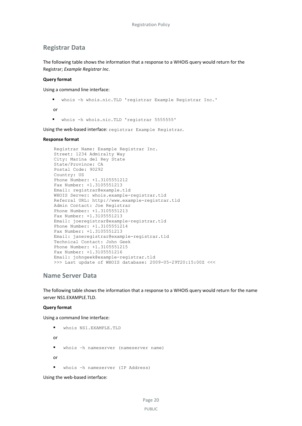## **Registrar Data**

The following table shows the information that a response to a WHOIS query would return for the Registrar; *Example Registrar Inc*.

#### **Query format**

Using a command line interface:

whois -h whois.nic.TLD 'registrar Example Registrar Inc.'

or

whois -h whois.nic.TLD 'registrar 5555555'

Using the web-based interface: registrar Example Registrar.

#### **Response format**

Registrar Name: Example Registrar Inc. Street: 1234 Admiralty Way City: Marina del Rey State State/Province: CA Postal Code: 90292 Country: US Phone Number: +1.3105551212 Fax Number: +1.3105551213 Email: registrar@example.tld WHOIS Server: whois.example-registrar.tld Referral URL: http://www.example-registrar.tld Admin Contact: Joe Registrar Phone Number: +1.3105551213 Fax Number: +1.3105551213 Email: joeregistrar@example-registrar.tld Phone Number: +1.3105551214 Fax Number: +1.3105551213 Email: janeregistrar@example-registrar.tld Technical Contact: John Geek Phone Number: +1.3105551215 Fax Number: +1.3105551216 Email: johngeek@example-registrar.tld >>> Last update of WHOIS database: 2009-05-29T20:15:00Z <<<

### **Name Server Data**

The following table shows the information that a response to a WHOIS query would return for the name server NS1.EXAMPLE.TLD.

#### **Query format**

Using a command line interface:

whois NS1.EXAMPLE.TLD

or

whois –h nameserver (nameserver name)

or

whois –h nameserver (IP Address)

Using the web-based interface: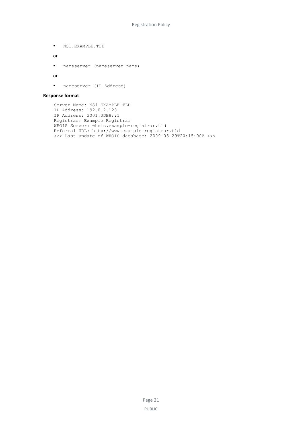$NSI$ .EXAMPLE.TLD

or

nameserver (nameserver name)

or

nameserver (IP Address)

#### **Response format**

```
Server Name: NS1.EXAMPLE.TLD
IP Address: 192.0.2.123
IP Address: 2001:0DB8::1
Registrar: Example Registrar
WHOIS Server: whois.example-registrar.tld
Referral URL: http://www.example-registrar.tld
>>> Last update of WHOIS database: 2009-05-29T20:15:00Z <<<
```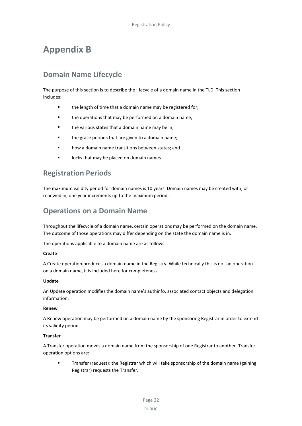# <span id="page-25-0"></span>**Appendix B**

# <span id="page-25-1"></span>**Domain Name Lifecycle**

The purpose of this section is to describe the lifecycle of a domain name in the TLD. This section includes:

- the length of time that a domain name may be registered for;
- **the operations that may be performed on a domain name;**
- the various states that a domain name may be in;
- **the grace periods that are given to a domain name;**
- how a domain name transitions between states; and
- locks that may be placed on domain names.

# <span id="page-25-2"></span>**Registration Periods**

The maximum validity period for domain names is 10 years. Domain names may be created with, or renewed in, one year increments up to the maximum period.

# <span id="page-25-3"></span>**Operations on a Domain Name**

Throughout the lifecycle of a domain name, certain operations may be performed on the domain name. The outcome of those operations may differ depending on the state the domain name is in.

The operations applicable to a domain name are as follows.

### **Create**

A Create operation produces a domain name in the Registry. While technically this is not an operation on a domain name, it is included here for completeness.

### **Update**

An Update operation modifies the domain name's authinfo, associated contact objects and delegation information.

### **Renew**

A Renew operation may be performed on a domain name by the sponsoring Registrar in order to extend its validity period.

### **Transfer**

A Transfer operation moves a domain name from the sponsorship of one Registrar to another. Transfer operation options are:

 Transfer (request): the Registrar which will take sponsorship of the domain name (gaining Registrar) requests the Transfer.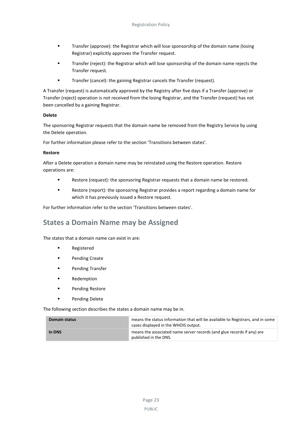- Transfer (approve): the Registrar which will lose sponsorship of the domain name (losing Registrar) explicitly approves the Transfer request.
- Transfer (reject): the Registrar which will lose sponsorship of the domain name rejects the Transfer request.
- **Transfer (cancel): the gaining Registrar cancels the Transfer (request).**

A Transfer (request) is automatically approved by the Registry after five days if a Transfer (approve) or Transfer (reject) operation is not received from the losing Registrar, and the Transfer (request) has not been cancelled by a gaining Registrar.

### **Delete**

The sponsoring Registrar requests that the domain name be removed from the Registry Service by using the Delete operation.

For further information please refer to the section 'Transitions between states'.

#### **Restore**

After a Delete operation a domain name may be reinstated using the Restore operation. Restore operations are:

- Restore (request): the sponsoring Registrar requests that a domain name be restored.
- Restore (report): the sponsoring Registrar provides a report regarding a domain name for which it has previously issued a Restore request.

For further information refer to the section 'Transitions between states'.

# <span id="page-26-0"></span>**States a Domain Name may be Assigned**

The states that a domain name can exist in are:

- **Registered**
- **Pending Create**
- Pending Transfer
- Redemption
- **Pending Restore**
- **Pending Delete**

The following section describes the states a domain name may be in.

| Domain status | means the status information that will be available to Registrars, and in some<br>cases displayed in the WHOIS output. |  |
|---------------|------------------------------------------------------------------------------------------------------------------------|--|
| In DNS        | means the associated name server records (and glue records if any) are<br>published in the DNS.                        |  |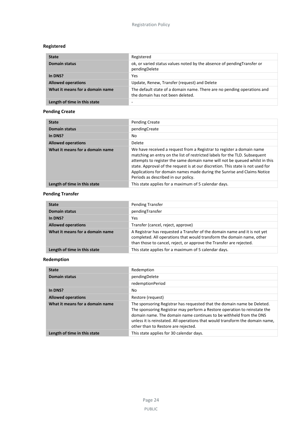## **Registered**

| <b>State</b>                    | Registered                                                                                                  |
|---------------------------------|-------------------------------------------------------------------------------------------------------------|
| <b>Domain status</b>            | ok, or varied status values noted by the absence of pending Transfer or<br>pendingDelete                    |
| In DNS?                         | Yes                                                                                                         |
| <b>Allowed operations</b>       | Update, Renew, Transfer (request) and Delete                                                                |
| What it means for a domain name | The default state of a domain name. There are no pending operations and<br>the domain has not been deleted. |
| Length of time in this state    |                                                                                                             |

# **Pending Create**

| <b>State</b>                    | <b>Pending Create</b>                                                                                                                                                                                                                                                                                                                                                                                                                   |
|---------------------------------|-----------------------------------------------------------------------------------------------------------------------------------------------------------------------------------------------------------------------------------------------------------------------------------------------------------------------------------------------------------------------------------------------------------------------------------------|
| <b>Domain status</b>            | pendingCreate                                                                                                                                                                                                                                                                                                                                                                                                                           |
| In DNS?                         | No                                                                                                                                                                                                                                                                                                                                                                                                                                      |
| <b>Allowed operations</b>       | Delete                                                                                                                                                                                                                                                                                                                                                                                                                                  |
| What it means for a domain name | We have received a request from a Registrar to register a domain name<br>matching an entry on the list of restricted labels for the TLD. Subsequent<br>attempts to register the same domain name will not be queued whilst in this<br>state. Approval of the request is at our discretion. This state is not used for<br>Applications for domain names made during the Sunrise and Claims Notice<br>Periods as described in our policy. |
| Length of time in this state    | This state applies for a maximum of 5 calendar days.                                                                                                                                                                                                                                                                                                                                                                                    |

## **Pending Transfer**

| <b>State</b>                    | Pending Transfer                                                                                                                                                                                                          |  |
|---------------------------------|---------------------------------------------------------------------------------------------------------------------------------------------------------------------------------------------------------------------------|--|
| <b>Domain status</b>            | pendingTransfer                                                                                                                                                                                                           |  |
| In DNS?                         | Yes                                                                                                                                                                                                                       |  |
| <b>Allowed operations</b>       | Transfer (cancel, reject, approve)                                                                                                                                                                                        |  |
| What it means for a domain name | A Registrar has requested a Transfer of the domain name and it is not yet<br>completed. All operations that would transform the domain name, other<br>than those to cancel, reject, or approve the Transfer are rejected. |  |
| Length of time in this state    | This state applies for a maximum of 5 calendar days.                                                                                                                                                                      |  |

# **Redemption**

| <b>State</b>                    | Redemption                                                                                                                                                                                                                                                                                                                                         |  |
|---------------------------------|----------------------------------------------------------------------------------------------------------------------------------------------------------------------------------------------------------------------------------------------------------------------------------------------------------------------------------------------------|--|
| <b>Domain status</b>            | pendingDelete                                                                                                                                                                                                                                                                                                                                      |  |
|                                 | redemptionPeriod                                                                                                                                                                                                                                                                                                                                   |  |
| In DNS?                         | No                                                                                                                                                                                                                                                                                                                                                 |  |
| <b>Allowed operations</b>       | Restore (request)                                                                                                                                                                                                                                                                                                                                  |  |
| What it means for a domain name | The sponsoring Registrar has requested that the domain name be Deleted.<br>The sponsoring Registrar may perform a Restore operation to reinstate the<br>domain name. The domain name continues to be withheld from the DNS<br>unless it is reinstated. All operations that would transform the domain name,<br>other than to Restore are rejected. |  |
| Length of time in this state    | This state applies for 30 calendar days.                                                                                                                                                                                                                                                                                                           |  |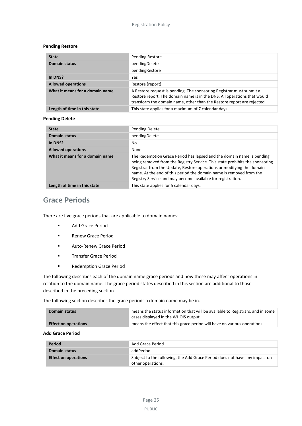#### **Pending Restore**

| <b>State</b>                    | Pending Restore                                                                                                                                                                                                            |
|---------------------------------|----------------------------------------------------------------------------------------------------------------------------------------------------------------------------------------------------------------------------|
| <b>Domain status</b>            | pendingDelete                                                                                                                                                                                                              |
|                                 | pendingRestore                                                                                                                                                                                                             |
| In DNS?                         | Yes                                                                                                                                                                                                                        |
| <b>Allowed operations</b>       | Restore (report)                                                                                                                                                                                                           |
| What it means for a domain name | A Restore request is pending. The sponsoring Registrar must submit a<br>Restore report. The domain name is in the DNS. All operations that would<br>transform the domain name, other than the Restore report are rejected. |
| Length of time in this state    | This state applies for a maximum of 7 calendar days.                                                                                                                                                                       |

#### **Pending Delete**

| <b>State</b>                    | Pending Delete                                                                                                                                                                                                                                                                                                                                                       |
|---------------------------------|----------------------------------------------------------------------------------------------------------------------------------------------------------------------------------------------------------------------------------------------------------------------------------------------------------------------------------------------------------------------|
| <b>Domain status</b>            | pendingDelete                                                                                                                                                                                                                                                                                                                                                        |
| In DNS?                         | No                                                                                                                                                                                                                                                                                                                                                                   |
| <b>Allowed operations</b>       | None                                                                                                                                                                                                                                                                                                                                                                 |
| What it means for a domain name | The Redemption Grace Period has lapsed and the domain name is pending<br>being removed from the Registry Service. This state prohibits the sponsoring<br>Registrar from the Update, Restore operations or modifying the domain<br>name. At the end of this period the domain name is removed from the<br>Registry Service and may become available for registration. |
| Length of time in this state    | This state applies for 5 calendar days.                                                                                                                                                                                                                                                                                                                              |

# <span id="page-28-0"></span>**Grace Periods**

There are five grace periods that are applicable to domain names:

- Add Grace Period
- Renew Grace Period
- Auto-Renew Grace Period
- **Transfer Grace Period**
- **Redemption Grace Period**

The following describes each of the domain name grace periods and how these may affect operations in relation to the domain name. The grace period states described in this section are additional to those described in the preceding section.

The following section describes the grace periods a domain name may be in.

| Domain status               | means the status information that will be available to Registrars, and in some<br>cases displayed in the WHOIS output. |  |
|-----------------------------|------------------------------------------------------------------------------------------------------------------------|--|
| <b>Effect on operations</b> | means the effect that this grace period will have on various operations.                                               |  |

#### **Add Grace Period**

| <b>Period</b>               | Add Grace Period                                                                                |
|-----------------------------|-------------------------------------------------------------------------------------------------|
| <b>Domain status</b>        | addPeriod                                                                                       |
| <b>Effect on operations</b> | Subject to the following, the Add Grace Period does not have any impact on<br>other operations. |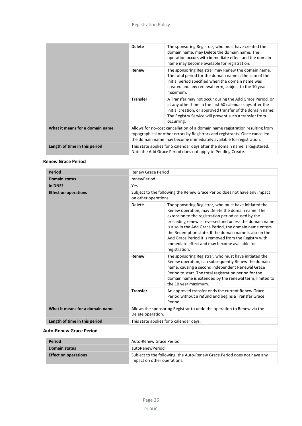|                                 | <b>Delete</b>                                                                                                                                                                                                                     | The sponsoring Registrar, who must have created the<br>domain name, may Delete the domain name. The<br>operation occurs with immediate effect and the domain<br>name may become available for registration.                                                 |
|---------------------------------|-----------------------------------------------------------------------------------------------------------------------------------------------------------------------------------------------------------------------------------|-------------------------------------------------------------------------------------------------------------------------------------------------------------------------------------------------------------------------------------------------------------|
|                                 | Renew                                                                                                                                                                                                                             | The sponsoring Registrar may Renew the domain name.<br>The total period for the domain name is the sum of the<br>initial period specified when the domain name was<br>created and any renewal term, subject to the 10 year<br>maximum.                      |
|                                 | <b>Transfer</b>                                                                                                                                                                                                                   | A Transfer may not occur during the Add Grace Period, or<br>at any other time in the first 60 calendar days after the<br>initial creation, or approved transfer of the domain name.<br>The Registry Service will prevent such a transfer from<br>occurring. |
| What it means for a domain name | Allows for no-cost cancellation of a domain name registration resulting from<br>typographical or other errors by Registrars and registrants. Once cancelled<br>the domain name may become immediately available for registration. |                                                                                                                                                                                                                                                             |
| Length of time in this period   |                                                                                                                                                                                                                                   | This state applies for 5 calendar days after the domain name is Registered.<br>Note the Add Grace Period does not apply to Pending Create.                                                                                                                  |

### **Renew Grace Period**

| <b>Period</b>                   | <b>Renew Grace Period</b>                                                                        |                                                                                                                                                                                                                                                                                                                                                                                                                                                                            |  |
|---------------------------------|--------------------------------------------------------------------------------------------------|----------------------------------------------------------------------------------------------------------------------------------------------------------------------------------------------------------------------------------------------------------------------------------------------------------------------------------------------------------------------------------------------------------------------------------------------------------------------------|--|
| <b>Domain status</b>            | renewPeriod                                                                                      |                                                                                                                                                                                                                                                                                                                                                                                                                                                                            |  |
| In DNS?                         | Yes                                                                                              |                                                                                                                                                                                                                                                                                                                                                                                                                                                                            |  |
| <b>Effect on operations</b>     | Subject to the following the Renew Grace Period does not have any impact<br>on other operations. |                                                                                                                                                                                                                                                                                                                                                                                                                                                                            |  |
|                                 | <b>Delete</b>                                                                                    | The sponsoring Registrar, who must have initiated the<br>Renew operation, may Delete the domain name. The<br>extension to the registration period caused by the<br>preceding renew is reversed and unless the domain name<br>is also in the Add Grace Period, the domain name enters<br>the Redemption state. If the domain name is also in the<br>Add Grace Period it is removed from the Registry with<br>immediate effect and may become available for<br>registration. |  |
|                                 | Renew                                                                                            | The sponsoring Registrar, who must have initiated the<br>Renew operation, can subsequently Renew the domain<br>name, causing a second independent Renewal Grace<br>Period to start. The total registration period for the<br>domain name is extended by the renewal term, limited to<br>the 10 year maximum.                                                                                                                                                               |  |
|                                 | <b>Transfer</b>                                                                                  | An approved transfer ends the current Renew Grace<br>Period without a refund and begins a Transfer Grace<br>Period.                                                                                                                                                                                                                                                                                                                                                        |  |
| What it means for a domain name | Allows the sponsoring Registrar to undo the operation to Renew via the<br>Delete operation.      |                                                                                                                                                                                                                                                                                                                                                                                                                                                                            |  |
| Length of time in this period   | This state applies for 5 calendar days.                                                          |                                                                                                                                                                                                                                                                                                                                                                                                                                                                            |  |

### **Auto-Renew Grace Period**

| <b>Period</b>               | Auto-Renew Grace Period                                                                                |
|-----------------------------|--------------------------------------------------------------------------------------------------------|
| Domain status               | autoRenewPeriod                                                                                        |
| <b>Effect on operations</b> | Subject to the following, the Auto-Renew Grace Period does not have any<br>impact on other operations. |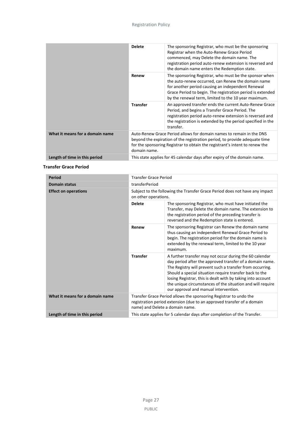|                                 | <b>Delete</b>   | The sponsoring Registrar, who must be the sponsoring<br>Registrar when the Auto-Renew Grace Period<br>commenced, may Delete the domain name. The<br>registration period auto-renew extension is reversed and<br>the domain name enters the Redemption state.                            |
|---------------------------------|-----------------|-----------------------------------------------------------------------------------------------------------------------------------------------------------------------------------------------------------------------------------------------------------------------------------------|
|                                 | Renew           | The sponsoring Registrar, who must be the sponsor when<br>the auto-renew occurred, can Renew the domain name<br>for another period causing an independent Renewal<br>Grace Period to begin. The registration period is extended<br>by the renewal term, limited to the 10 year maximum. |
|                                 | <b>Transfer</b> | An approved transfer ends the current Auto-Renew Grace<br>Period, and begins a Transfer Grace Period. The<br>registration period auto-renew extension is reversed and<br>the registration is extended by the period specified in the<br>transfer.                                       |
| What it means for a domain name | domain name.    | Auto-Renew Grace Period allows for domain names to remain in the DNS<br>beyond the expiration of the registration period, to provide adequate time<br>for the sponsoring Registrar to obtain the registrant's intent to renew the                                                       |
| Length of time in this period   |                 | This state applies for 45 calendar days after expiry of the domain name.                                                                                                                                                                                                                |

### **Transfer Grace Period**

| <b>Period</b>                   | <b>Transfer Grace Period</b>                                                                                                                                                   |                                                                                                                                                                                                                                                                                                                                                                                                                   |
|---------------------------------|--------------------------------------------------------------------------------------------------------------------------------------------------------------------------------|-------------------------------------------------------------------------------------------------------------------------------------------------------------------------------------------------------------------------------------------------------------------------------------------------------------------------------------------------------------------------------------------------------------------|
| <b>Domain status</b>            | transferPeriod                                                                                                                                                                 |                                                                                                                                                                                                                                                                                                                                                                                                                   |
| <b>Effect on operations</b>     | Subject to the following the Transfer Grace Period does not have any impact<br>on other operations.                                                                            |                                                                                                                                                                                                                                                                                                                                                                                                                   |
|                                 | <b>Delete</b>                                                                                                                                                                  | The sponsoring Registrar, who must have initiated the<br>Transfer, may Delete the domain name. The extension to<br>the registration period of the preceding transfer is<br>reversed and the Redemption state is entered.                                                                                                                                                                                          |
|                                 | Renew                                                                                                                                                                          | The sponsoring Registrar can Renew the domain name<br>thus causing an independent Renewal Grace Period to<br>begin. The registration period for the domain name is<br>extended by the renewal term, limited to the 10 year<br>maximum.                                                                                                                                                                            |
|                                 | <b>Transfer</b>                                                                                                                                                                | A further transfer may not occur during the 60 calendar<br>day period after the approved transfer of a domain name.<br>The Registry will prevent such a transfer from occurring.<br>Should a special situation require transfer back to the<br>losing Registrar, this is dealt with by taking into account<br>the unique circumstances of the situation and will require<br>our approval and manual intervention. |
| What it means for a domain name | Transfer Grace Period allows the sponsoring Registrar to undo the<br>registration period extension (due to an approved transfer of a domain<br>name) and Delete a domain name. |                                                                                                                                                                                                                                                                                                                                                                                                                   |
| Length of time in this period   |                                                                                                                                                                                | This state applies for 5 calendar days after completion of the Transfer.                                                                                                                                                                                                                                                                                                                                          |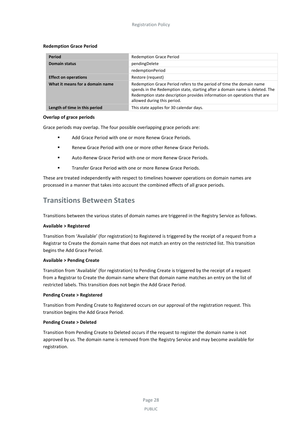#### **Redemption Grace Period**

| Period                          | <b>Redemption Grace Period</b>                                                                                                                                                                                                                                  |
|---------------------------------|-----------------------------------------------------------------------------------------------------------------------------------------------------------------------------------------------------------------------------------------------------------------|
| <b>Domain status</b>            | pendingDelete                                                                                                                                                                                                                                                   |
|                                 | redemptionPeriod                                                                                                                                                                                                                                                |
| <b>Effect on operations</b>     | Restore (request)                                                                                                                                                                                                                                               |
| What it means for a domain name | Redemption Grace Period refers to the period of time the domain name<br>spends in the Redemption state, starting after a domain name is deleted. The<br>Redemption state description provides information on operations that are<br>allowed during this period. |
| Length of time in this period   | This state applies for 30 calendar days.                                                                                                                                                                                                                        |

#### **Overlap of grace periods**

Grace periods may overlap. The four possible overlapping grace periods are:

- **Add Grace Period with one or more Renew Grace Periods.**
- **Renew Grace Period with one or more other Renew Grace Periods.**
- **EXECT:** Auto-Renew Grace Period with one or more Renew Grace Periods.
- Transfer Grace Period with one or more Renew Grace Periods.

These are treated independently with respect to timelines however operations on domain names are processed in a manner that takes into account the combined effects of all grace periods.

# <span id="page-31-0"></span>**Transitions Between States**

Transitions between the various states of domain names are triggered in the Registry Service as follows.

#### **Available > Registered**

Transition from 'Available' (for registration) to Registered is triggered by the receipt of a request from a Registrar to Create the domain name that does not match an entry on the restricted list. This transition begins the Add Grace Period.

### **Available > Pending Create**

Transition from 'Available' (for registration) to Pending Create is triggered by the receipt of a request from a Registrar to Create the domain name where that domain name matches an entry on the list of restricted labels. This transition does not begin the Add Grace Period.

### **Pending Create > Registered**

Transition from Pending Create to Registered occurs on our approval of the registration request. This transition begins the Add Grace Period.

### **Pending Create > Deleted**

Transition from Pending Create to Deleted occurs if the request to register the domain name is not approved by us. The domain name is removed from the Registry Service and may become available for registration.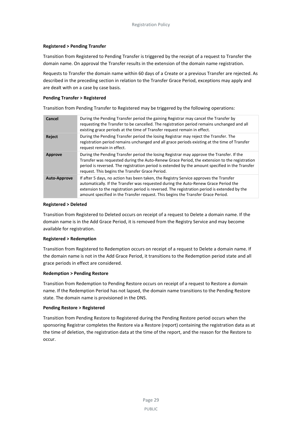### **Registered > Pending Transfer**

Transition from Registered to Pending Transfer is triggered by the receipt of a request to Transfer the domain name. On approval the Transfer results in the extension of the domain name registration.

Requests to Transfer the domain name within 60 days of a Create or a previous Transfer are rejected. As described in the preceding section in relation to the Transfer Grace Period, exceptions may apply and are dealt with on a case by case basis.

#### **Pending Transfer > Registered**

Transition from Pending Transfer to Registered may be triggered by the following operations:

| Cancel              | During the Pending Transfer period the gaining Registrar may cancel the Transfer by<br>requesting the Transfer to be cancelled. The registration period remains unchanged and all<br>existing grace periods at the time of Transfer request remain in effect.                                                                                                    |
|---------------------|------------------------------------------------------------------------------------------------------------------------------------------------------------------------------------------------------------------------------------------------------------------------------------------------------------------------------------------------------------------|
| Reject              | During the Pending Transfer period the losing Registrar may reject the Transfer. The<br>registration period remains unchanged and all grace periods existing at the time of Transfer<br>request remain in effect.                                                                                                                                                |
| <b>Approve</b>      | During the Pending Transfer period the losing Registrar may approve the Transfer. If the<br>Transfer was requested during the Auto-Renew Grace Period, the extension to the registration<br>period is reversed. The registration period is extended by the amount specified in the Transfer<br>request. This begins the Transfer Grace Period.                   |
| <b>Auto-Approve</b> | If after 5 days, no action has been taken, the Registry Service approves the Transfer<br>automatically. If the Transfer was requested during the Auto-Renew Grace Period the<br>extension to the registration period is reversed. The registration period is extended by the<br>amount specified in the Transfer request. This begins the Transfer Grace Period. |

#### **Registered > Deleted**

Transition from Registered to Deleted occurs on receipt of a request to Delete a domain name. If the domain name is in the Add Grace Period, it is removed from the Registry Service and may become available for registration.

### **Registered > Redemption**

Transition from Registered to Redemption occurs on receipt of a request to Delete a domain name. If the domain name is not in the Add Grace Period, it transitions to the Redemption period state and all grace periods in effect are considered.

### **Redemption > Pending Restore**

Transition from Redemption to Pending Restore occurs on receipt of a request to Restore a domain name. If the Redemption Period has not lapsed, the domain name transitions to the Pending Restore state. The domain name is provisioned in the DNS.

### **Pending Restore > Registered**

Transition from Pending Restore to Registered during the Pending Restore period occurs when the sponsoring Registrar completes the Restore via a Restore (report) containing the registration data as at the time of deletion, the registration data at the time of the report, and the reason for the Restore to occur.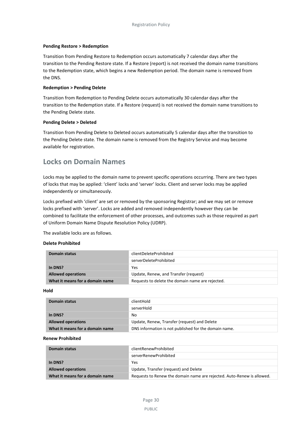#### **Pending Restore > Redemption**

Transition from Pending Restore to Redemption occurs automatically 7 calendar days after the transition to the Pending Restore state. If a Restore (report) is not received the domain name transitions to the Redemption state, which begins a new Redemption period. The domain name is removed from the DNS.

#### **Redemption > Pending Delete**

Transition from Redemption to Pending Delete occurs automatically 30 calendar days after the transition to the Redemption state. If a Restore (request) is not received the domain name transitions to the Pending Delete state.

#### **Pending Delete > Deleted**

Transition from Pending Delete to Deleted occurs automatically 5 calendar days after the transition to the Pending Delete state. The domain name is removed from the Registry Service and may become available for registration.

# <span id="page-33-0"></span>**Locks on Domain Names**

Locks may be applied to the domain name to prevent specific operations occurring. There are two types of locks that may be applied: 'client' locks and 'server' locks. Client and server locks may be applied independently or simultaneously.

Locks prefixed with 'client' are set or removed by the sponsoring Registrar; and we may set or remove locks prefixed with 'server'. Locks are added and removed independently however they can be combined to facilitate the enforcement of other processes, and outcomes such as those required as part of Uniform Domain Name Dispute Resolution Policy (UDRP).

The available locks are as follows.

#### **Delete Prohibited**

| Domain status                   | clientDeleteProhibited                           |
|---------------------------------|--------------------------------------------------|
|                                 | serverDeleteProhibited                           |
| In DNS?                         | Yes                                              |
| <b>Allowed operations</b>       | Update, Renew, and Transfer (request)            |
| What it means for a domain name | Requests to delete the domain name are rejected. |

**Hold**

| Domain status                   | clientHold                                            |
|---------------------------------|-------------------------------------------------------|
|                                 | serverHold                                            |
| In DNS?                         | No                                                    |
| <b>Allowed operations</b>       | Update, Renew, Transfer (request) and Delete          |
| What it means for a domain name | DNS information is not published for the domain name. |

#### **Renew Prohibited**

| Domain status                   | clientRenewProhibited                                                  |  |
|---------------------------------|------------------------------------------------------------------------|--|
|                                 | serverRenewProhibited                                                  |  |
| In DNS?                         | Yes                                                                    |  |
| <b>Allowed operations</b>       | Update, Transfer (request) and Delete                                  |  |
| What it means for a domain name | Requests to Renew the domain name are rejected. Auto-Renew is allowed. |  |